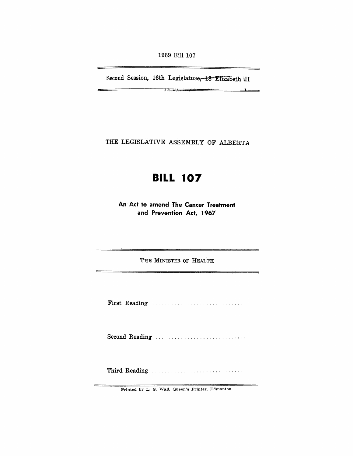1969 Bill 107

Second Session, 16th Legislature, 18 Elizabeth II

1\ . " .'~; j'

 $\rightarrow$ 

 $\overline{\phantom{0}}$ 

THE LEGISLATIVE ASSEMBLY OF ALBERTA

## **BILL 107**

An Act to amend The Cancer Treatment and Prevention Act, 1967

THE MINISTER OF HEALTH

<u> Antonio de la contenentación de la contenecidad de la contenecidad de la contenecidad de la contenecidad de l</u>

First Reading ..

Second Reading ............................ .

Third Reading

Printed by L. S. Wall, Queen's Printer, Edmonton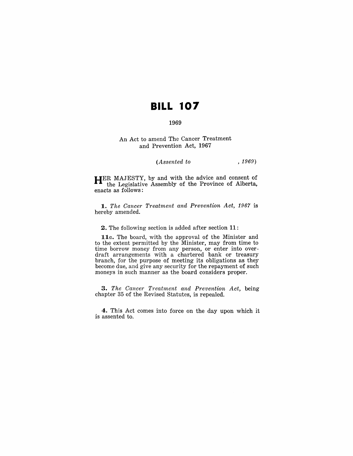# **BILL 107**

### 1969

#### An Act to amend The Cancer Treatment and Prevention Act, 1967

### *(Assented to* , 1969)

**HER** MAJESTY, by and with the advice and consent of the Legislative Assembly of the Province of Alberta, enacts as follows:

*1. The Cancer Treatment and Prevention Act,* 1967 is hereby amended.

2. The following section is added after section **11:** 

*l1a.* The board, with the approval of the Minister and to the extent permitted by the Minister, may from time to time borrow money from any person, or enter into over· draft arrangements with a chartered bank or treasury branch, for the purpose of meeting its obligations as they become due, and give any security for the repayment of such moneys in such manner as the board considers proper.

*,3. The Cancer Treatment and Prevention Act,* being chapter 35 of the Revised Statutes, is repealed.

4. This Act comes into force on the day upon which it is assented to.